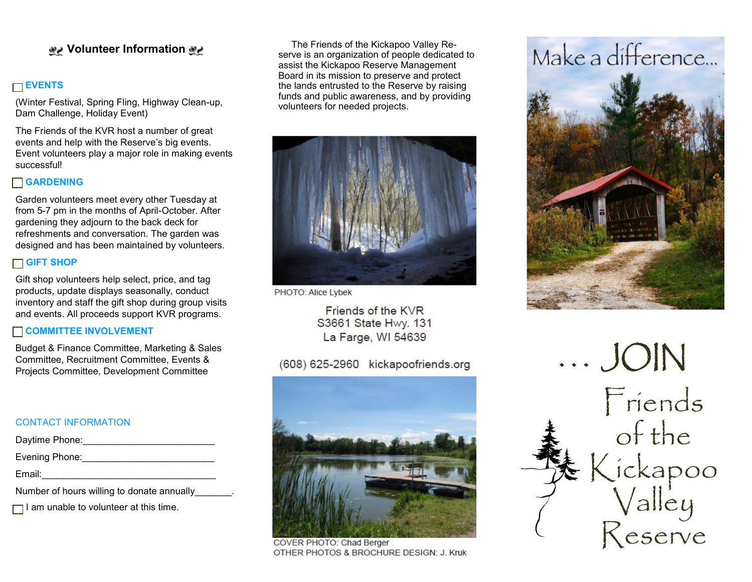## **Volunteer Information**

## **EVENTS**

(Winter Festival, Spring Fling, Highway Clean-up, Dam Challenge, Holiday Event)

The Friends of the KVR host a number of great events and help with the Reserve's big events. Event volunteers play a major role in making events successful!

## **GARDENING**

Garden volunteers meet every other Tuesday at from 5-7 pm in the months of April-October. After gardening they adjourn to the back deck for refreshments and conversation. The garden was designed and has been maintained by volunteers.

## **GIFT SHOP**

Gift shop volunteers help select, price, and tag products, update displays seasonally, conduct inventory and staff the gift shop during group visits and events. All proceeds support KVR programs.

#### **COMMITTEE INVOLVEMENT**

Budget & Finance Committee, Marketing & Sales Committee, Recruitment Committee, Events & Projects Committee, Development Committee

## CONTACT INFORMATION

| Daytime Phone:                             |  |
|--------------------------------------------|--|
| Evening Phone:                             |  |
| Email:                                     |  |
| Number of hours willing to donate annually |  |

 $\Box$  I am unable to volunteer at this time.

 The Friends of the Kickapoo Valley Reserve is an organization of people dedicated to assist the Kickapoo Reserve Management Board in its mission to preserve and protect the lands entrusted to the Reserve by raising funds and public awareness, and by providing volunteers for needed projects.



PHOTO: Alice Lybek

Friends of the KVR S3661 State Hwy. 131 La Farge, WI 54639

## (608) 625-2960 kickapoofriends.org



COVER PHOTO: Chad Berger OTHER PHOTOS & BROCHURE DESIGN: J. Kruk

# Make a difference...